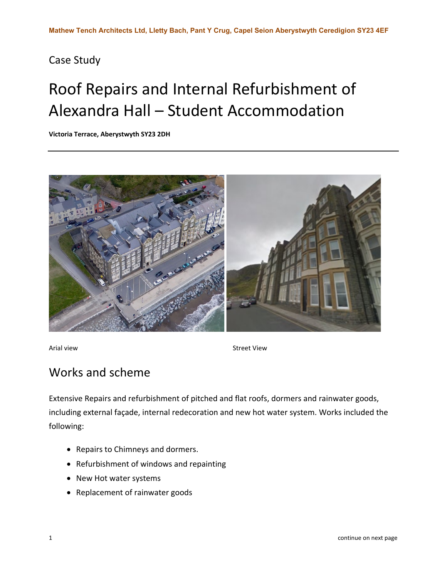## Case Study

## Roof Repairs and Internal Refurbishment of Alexandra Hall – Student Accommodation

**Victoria Terrace, Aberystwyth SY23 2DH**



Arial view **Street View** Street View

## Works and scheme

Extensive Repairs and refurbishment of pitched and flat roofs, dormers and rainwater goods, including external façade, internal redecoration and new hot water system. Works included the following:

- Repairs to Chimneys and dormers.
- Refurbishment of windows and repainting
- New Hot water systems
- Replacement of rainwater goods